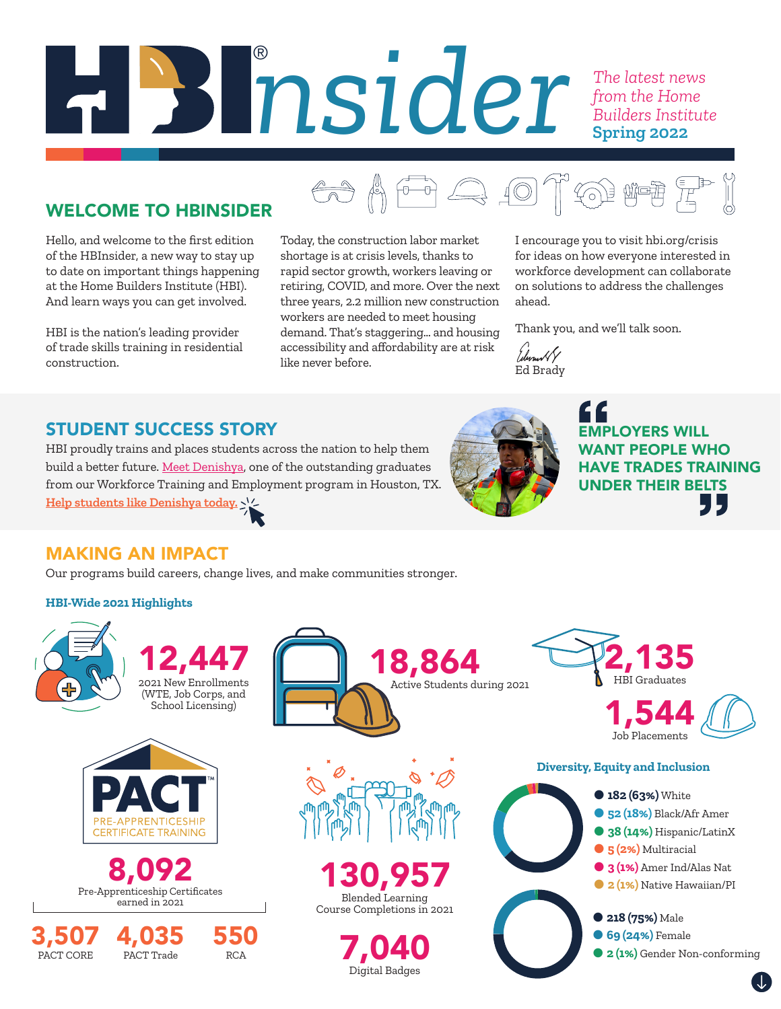# *nsider The latest news from the Home Builders Institute* ® **Spring 2022**

# WELCOME TO HBINSIDER

Hello, and welcome to the first edition of the HBInsider, a new way to stay up to date on important things happening at the Home Builders Institute (HBI). And learn ways you can get involved.

HBI is the nation's leading provider of trade skills training in residential construction.

Today, the construction labor market shortage is at crisis levels, thanks to rapid sector growth, workers leaving or retiring, COVID, and more. Over the next three years, 2.2 million new construction workers are needed to meet housing demand. That's staggering… and housing accessibility and affordability are at risk like never before.

I encourage you to visit hbi.org/crisis for ideas on how everyone interested in workforce development can collaborate on solutions to address the challenges ahead.

Thank you, and we'll talk soon.

/durus// Ed Brady

<del>a</del> 4 <del>a</del> 4 of a rep

# STUDENT SUCCESS STORY

HBI proudly trains and places students across the nation to help them build a better future. [Meet Denishya](https://hbi.org/stories/ ), one of the outstanding graduates from our Workforce Training and Employment program in Houston, TX. **[Help students like Denishya today.](https://hbi.org/donate/)**



EMPLOYERS WILL WANT PEOPLE WHO HAVE TRADES TRAINING UNDER THEIR BELTS J L .

## MAKING AN IMPACT

PACT Trade

RCA

Our programs build careers, change lives, and make communities stronger.

#### **HBI-Wide 2021 Highlights**